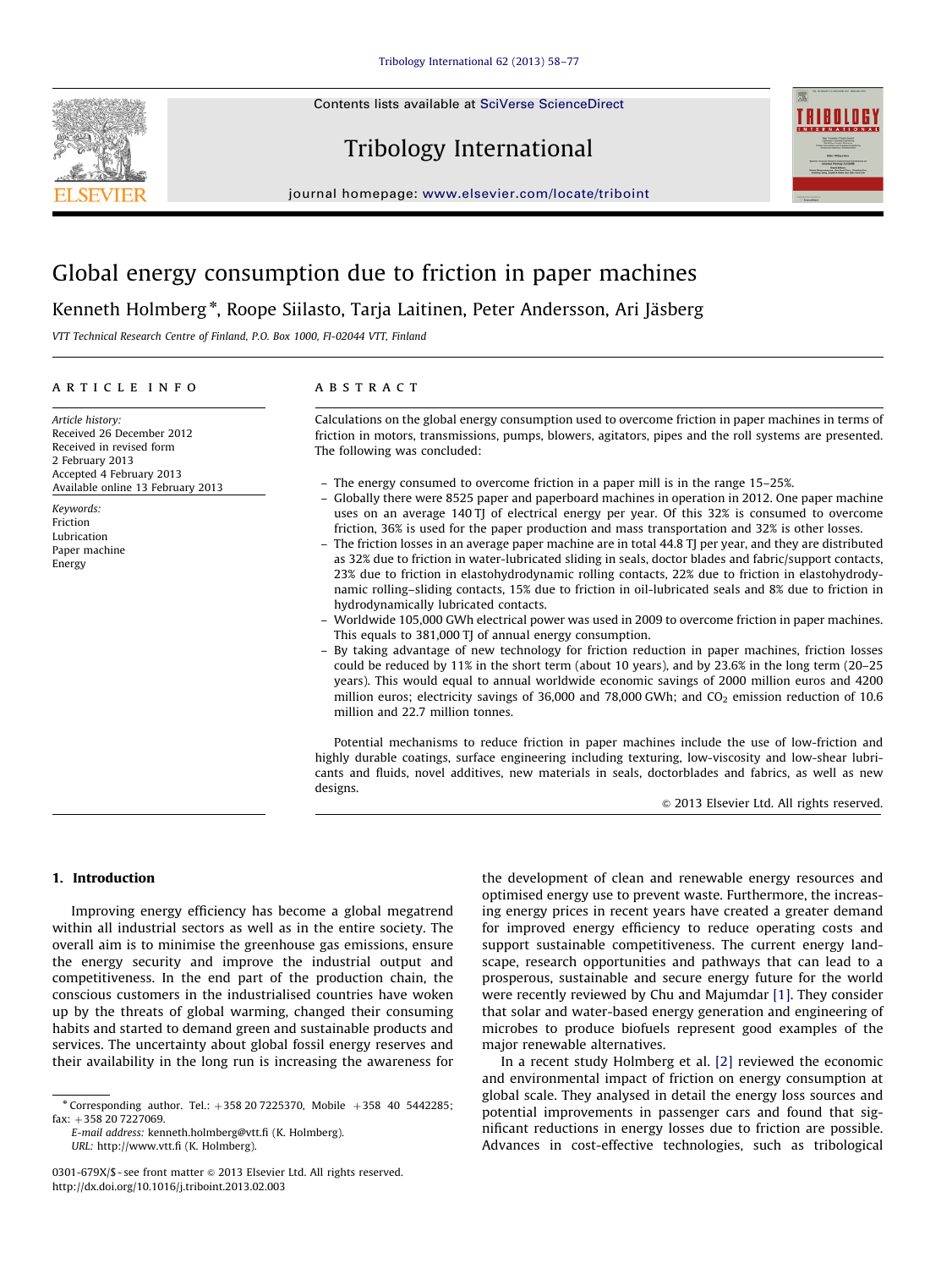Contents lists available at [SciVerse ScienceDirect](www.elsevier.com/locate/triboint)







journal homepage: <www.elsevier.com/locate/triboint>

## Global energy consumption due to friction in paper machines

Kenneth Holmberg\*, Roope Siilasto, Tarja Laitinen, Peter Andersson, Ari Jäsberg

VTT Technical Research Centre of Finland, P.O. Box 1000, FI-02044 VTT, Finland

#### article info

Article history: Received 26 December 2012 Received in revised form 2 February 2013 Accepted 4 February 2013 Available online 13 February 2013

Keywords: Friction Lubrication Paper machine Energy

### **ABSTRACT**

Calculations on the global energy consumption used to overcome friction in paper machines in terms of friction in motors, transmissions, pumps, blowers, agitators, pipes and the roll systems are presented. The following was concluded:

- The energy consumed to overcome friction in a paper mill is in the range 15–25%.
- Globally there were 8525 paper and paperboard machines in operation in 2012. One paper machine uses on an average 140 TJ of electrical energy per year. Of this 32% is consumed to overcome friction, 36% is used for the paper production and mass transportation and 32% is other losses.
- The friction losses in an average paper machine are in total 44.8 TJ per year, and they are distributed as 32% due to friction in water-lubricated sliding in seals, doctor blades and fabric/support contacts, 23% due to friction in elastohydrodynamic rolling contacts, 22% due to friction in elastohydrodynamic rolling–sliding contacts, 15% due to friction in oil-lubricated seals and 8% due to friction in hydrodynamically lubricated contacts.
- Worldwide 105,000 GWh electrical power was used in 2009 to overcome friction in paper machines. This equals to 381,000 TJ of annual energy consumption.
- By taking advantage of new technology for friction reduction in paper machines, friction losses could be reduced by 11% in the short term (about 10 years), and by 23.6% in the long term (20–25 years). This would equal to annual worldwide economic savings of 2000 million euros and 4200 million euros; electricity savings of 36,000 and 78,000 GWh; and  $CO<sub>2</sub>$  emission reduction of 10.6 million and 22.7 million tonnes.

Potential mechanisms to reduce friction in paper machines include the use of low-friction and highly durable coatings, surface engineering including texturing, low-viscosity and low-shear lubricants and fluids, novel additives, new materials in seals, doctorblades and fabrics, as well as new designs.

 $\odot$  2013 Elsevier Ltd. All rights reserved.

#### 1. Introduction

Improving energy efficiency has become a global megatrend within all industrial sectors as well as in the entire society. The overall aim is to minimise the greenhouse gas emissions, ensure the energy security and improve the industrial output and competitiveness. In the end part of the production chain, the conscious customers in the industrialised countries have woken up by the threats of global warming, changed their consuming habits and started to demand green and sustainable products and services. The uncertainty about global fossil energy reserves and their availability in the long run is increasing the awareness for

E-mail address: [kenneth.holmberg@vtt.fi \(K. Holmberg\).](mailto:kenneth.holmberg@vtt.fi) URL: [http://www.vtt.fi \(K. Holmberg\)](http://www.vtt.fi).

the development of clean and renewable energy resources and optimised energy use to prevent waste. Furthermore, the increasing energy prices in recent years have created a greater demand for improved energy efficiency to reduce operating costs and support sustainable competitiveness. The current energy landscape, research opportunities and pathways that can lead to a prosperous, sustainable and secure energy future for the world were recently reviewed by Chu and Majumdar [\[1\].](#page--1-0) They consider that solar and water-based energy generation and engineering of microbes to produce biofuels represent good examples of the major renewable alternatives.

In a recent study Holmberg et al. [\[2\]](#page--1-0) reviewed the economic and environmental impact of friction on energy consumption at global scale. They analysed in detail the energy loss sources and potential improvements in passenger cars and found that significant reductions in energy losses due to friction are possible. Advances in cost-effective technologies, such as tribological

<sup>\*</sup> Corresponding author. Tel.:  $+358 20 7225370$ , Mobile  $+358 40 5442285$ ; fax: +358 20 7227069.

<sup>0301-679</sup>X/\$ - see front matter  $\circ$  2013 Elsevier Ltd. All rights reserved. <http://dx.doi.org/10.1016/j.triboint.2013.02.003>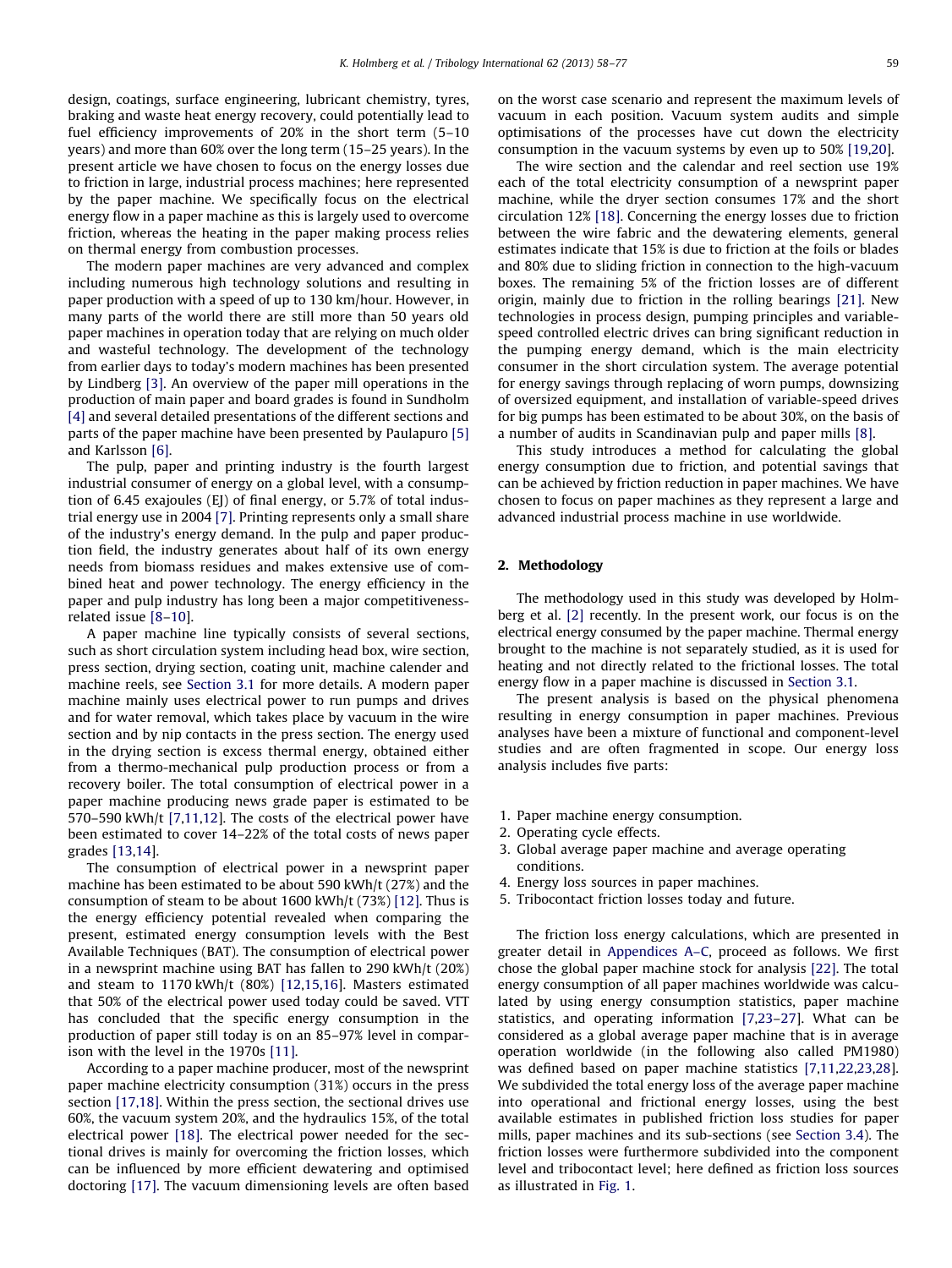design, coatings, surface engineering, lubricant chemistry, tyres, braking and waste heat energy recovery, could potentially lead to fuel efficiency improvements of 20% in the short term (5–10 years) and more than 60% over the long term (15–25 years). In the present article we have chosen to focus on the energy losses due to friction in large, industrial process machines; here represented by the paper machine. We specifically focus on the electrical energy flow in a paper machine as this is largely used to overcome friction, whereas the heating in the paper making process relies on thermal energy from combustion processes.

The modern paper machines are very advanced and complex including numerous high technology solutions and resulting in paper production with a speed of up to 130 km/hour. However, in many parts of the world there are still more than 50 years old paper machines in operation today that are relying on much older and wasteful technology. The development of the technology from earlier days to today's modern machines has been presented by Lindberg [\[3\]](#page--1-0). An overview of the paper mill operations in the production of main paper and board grades is found in Sundholm [\[4\]](#page--1-0) and several detailed presentations of the different sections and parts of the paper machine have been presented by Paulapuro [\[5\]](#page--1-0) and Karlsson [\[6\].](#page--1-0)

The pulp, paper and printing industry is the fourth largest industrial consumer of energy on a global level, with a consumption of 6.45 exajoules (EJ) of final energy, or 5.7% of total industrial energy use in 2004 [\[7\].](#page--1-0) Printing represents only a small share of the industry's energy demand. In the pulp and paper production field, the industry generates about half of its own energy needs from biomass residues and makes extensive use of combined heat and power technology. The energy efficiency in the paper and pulp industry has long been a major competitivenessrelated issue [\[8–10](#page--1-0)].

A paper machine line typically consists of several sections, such as short circulation system including head box, wire section, press section, drying section, coating unit, machine calender and machine reels, see [Section 3.1](#page--1-0) for more details. A modern paper machine mainly uses electrical power to run pumps and drives and for water removal, which takes place by vacuum in the wire section and by nip contacts in the press section. The energy used in the drying section is excess thermal energy, obtained either from a thermo-mechanical pulp production process or from a recovery boiler. The total consumption of electrical power in a paper machine producing news grade paper is estimated to be 570–590 kWh/t [\[7,11,12\]](#page--1-0). The costs of the electrical power have been estimated to cover 14–22% of the total costs of news paper grades [\[13](#page--1-0),[14\]](#page--1-0).

The consumption of electrical power in a newsprint paper machine has been estimated to be about 590 kWh/t (27%) and the consumption of steam to be about 1600 kWh/t (73%) [\[12\]](#page--1-0). Thus is the energy efficiency potential revealed when comparing the present, estimated energy consumption levels with the Best Available Techniques (BAT). The consumption of electrical power in a newsprint machine using BAT has fallen to 290 kWh/t (20%) and steam to 1170 kWh/t (80%) [\[12,15](#page--1-0),[16\]](#page--1-0). Masters estimated that 50% of the electrical power used today could be saved. VTT has concluded that the specific energy consumption in the production of paper still today is on an 85–97% level in comparison with the level in the 1970s [\[11\].](#page--1-0)

According to a paper machine producer, most of the newsprint paper machine electricity consumption (31%) occurs in the press section [\[17,18\].](#page--1-0) Within the press section, the sectional drives use 60%, the vacuum system 20%, and the hydraulics 15%, of the total electrical power [\[18\]](#page--1-0). The electrical power needed for the sectional drives is mainly for overcoming the friction losses, which can be influenced by more efficient dewatering and optimised doctoring [\[17\].](#page--1-0) The vacuum dimensioning levels are often based on the worst case scenario and represent the maximum levels of vacuum in each position. Vacuum system audits and simple optimisations of the processes have cut down the electricity consumption in the vacuum systems by even up to 50% [\[19,20\]](#page--1-0).

The wire section and the calendar and reel section use 19% each of the total electricity consumption of a newsprint paper machine, while the dryer section consumes 17% and the short circulation 12% [\[18\]](#page--1-0). Concerning the energy losses due to friction between the wire fabric and the dewatering elements, general estimates indicate that 15% is due to friction at the foils or blades and 80% due to sliding friction in connection to the high-vacuum boxes. The remaining 5% of the friction losses are of different origin, mainly due to friction in the rolling bearings [\[21\]](#page--1-0). New technologies in process design, pumping principles and variablespeed controlled electric drives can bring significant reduction in the pumping energy demand, which is the main electricity consumer in the short circulation system. The average potential for energy savings through replacing of worn pumps, downsizing of oversized equipment, and installation of variable-speed drives for big pumps has been estimated to be about 30%, on the basis of a number of audits in Scandinavian pulp and paper mills [\[8\]](#page--1-0).

This study introduces a method for calculating the global energy consumption due to friction, and potential savings that can be achieved by friction reduction in paper machines. We have chosen to focus on paper machines as they represent a large and advanced industrial process machine in use worldwide.

#### 2. Methodology

The methodology used in this study was developed by Holmberg et al. [\[2\]](#page--1-0) recently. In the present work, our focus is on the electrical energy consumed by the paper machine. Thermal energy brought to the machine is not separately studied, as it is used for heating and not directly related to the frictional losses. The total energy flow in a paper machine is discussed in [Section 3.1.](#page--1-0)

The present analysis is based on the physical phenomena resulting in energy consumption in paper machines. Previous analyses have been a mixture of functional and component-level studies and are often fragmented in scope. Our energy loss analysis includes five parts:

- 1. Paper machine energy consumption.
- 2. Operating cycle effects.
- 3. Global average paper machine and average operating conditions.
- 4. Energy loss sources in paper machines.
- 5. Tribocontact friction losses today and future.

The friction loss energy calculations, which are presented in greater detail in [Appendices A–C,](#page--1-0) proceed as follows. We first chose the global paper machine stock for analysis [\[22\]](#page--1-0). The total energy consumption of all paper machines worldwide was calculated by using energy consumption statistics, paper machine statistics, and operating information [\[7,23–27](#page--1-0)]. What can be considered as a global average paper machine that is in average operation worldwide (in the following also called PM1980) was defined based on paper machine statistics [\[7,11,22,23](#page--1-0),[28\]](#page--1-0). We subdivided the total energy loss of the average paper machine into operational and frictional energy losses, using the best available estimates in published friction loss studies for paper mills, paper machines and its sub-sections (see [Section 3.4\)](#page--1-0). The friction losses were furthermore subdivided into the component level and tribocontact level; here defined as friction loss sources as illustrated in [Fig. 1.](#page--1-0)